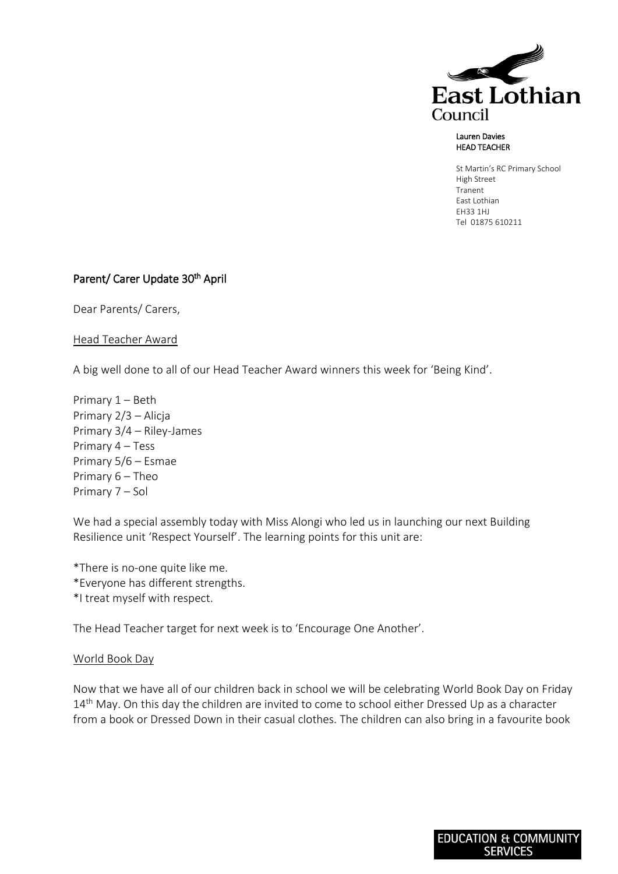

## Lauren Davies HEAD TEACHER

St Martin's RC Primary School High Street Tranent East Lothian EH33 1HJ Tel 01875 610211

## Parent/ Carer Update 30<sup>th</sup> April

Dear Parents/ Carers,

Head Teacher Award

A big well done to all of our Head Teacher Award winners this week for 'Being Kind'.

Primary 1 – Beth Primary 2/3 – Alicja Primary 3/4 – Riley-James Primary 4 – Tess Primary 5/6 – Esmae Primary 6 – Theo Primary 7 – Sol

We had a special assembly today with Miss Alongi who led us in launching our next Building Resilience unit 'Respect Yourself'. The learning points for this unit are:

\*There is no-one quite like me. \*Everyone has different strengths. \*I treat myself with respect.

The Head Teacher target for next week is to 'Encourage One Another'.

## World Book Day

Now that we have all of our children back in school we will be celebrating World Book Day on Friday 14<sup>th</sup> May. On this day the children are invited to come to school either Dressed Up as a character from a book or Dressed Down in their casual clothes. The children can also bring in a favourite book